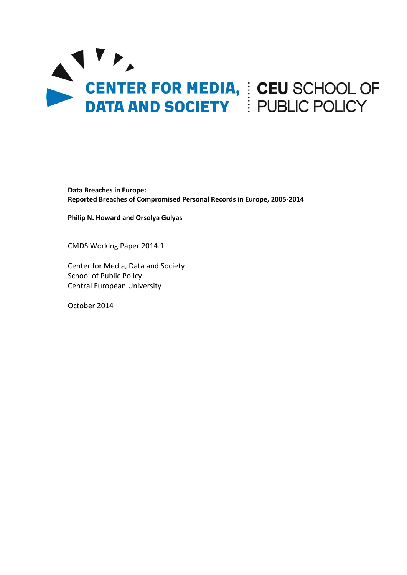

**Data Breaches in Europe: Reported Breaches of Compromised Personal Records in Europe, 2005-2014**

**Philip N. Howard and Orsolya Gulyas**

CMDS Working Paper 2014.1

Center for Media, Data and Society School of Public Policy Central European University

October 2014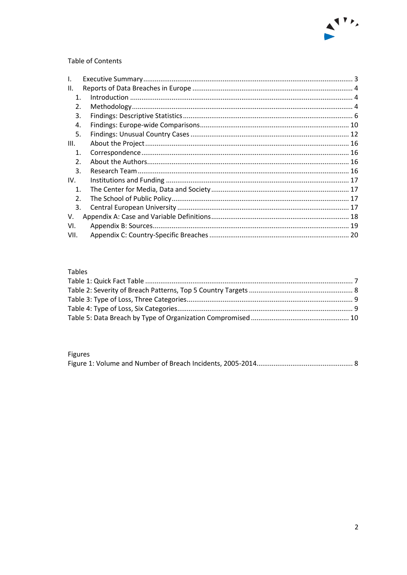

# Table of Contents

| I.             |  |
|----------------|--|
| ΙΙ.            |  |
| $\mathbf 1$ .  |  |
| 2.             |  |
| 3.             |  |
| 4.             |  |
| 5.             |  |
| III.           |  |
| $\mathbf 1$ .  |  |
| 2.             |  |
| 3.             |  |
| IV.            |  |
| $\mathbf{1}$ . |  |
| 2.             |  |
| 3.             |  |
| V.             |  |
| VI.            |  |
| VII.           |  |
|                |  |

# Tables

# Figures

|--|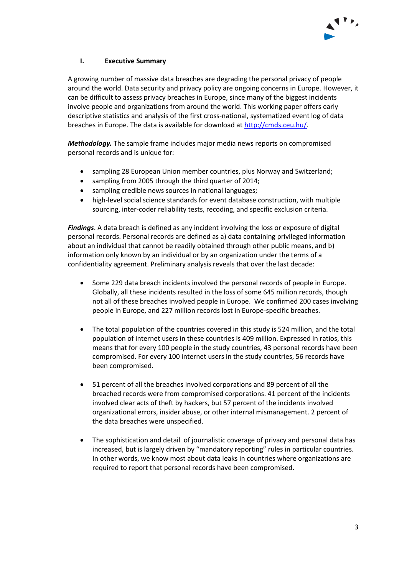

# <span id="page-2-0"></span>**I. Executive Summary**

A growing number of massive data breaches are degrading the personal privacy of people around the world. Data security and privacy policy are ongoing concerns in Europe. However, it can be difficult to assess privacy breaches in Europe, since many of the biggest incidents involve people and organizations from around the world. This working paper offers early descriptive statistics and analysis of the first cross-national, systematized event log of data breaches in Europe. The data is available for download a[t http://cmds.ceu.hu/.](http://cmds.ceu.hu/)

*Methodology.* The sample frame includes major media news reports on compromised personal records and is unique for:

- sampling 28 European Union member countries, plus Norway and Switzerland;
- sampling from 2005 through the third quarter of 2014;
- sampling credible news sources in national languages;
- high-level social science standards for event database construction, with multiple sourcing, inter-coder reliability tests, recoding, and specific exclusion criteria.

*Findings*. A data breach is defined as any incident involving the loss or exposure of digital personal records. Personal records are defined as a) data containing privileged information about an individual that cannot be readily obtained through other public means, and b) information only known by an individual or by an organization under the terms of a confidentiality agreement. Preliminary analysis reveals that over the last decade:

- Some 229 data breach incidents involved the personal records of people in Europe. Globally, all these incidents resulted in the loss of some 645 million records, though not all of these breaches involved people in Europe. We confirmed 200 cases involving people in Europe, and 227 million records lost in Europe-specific breaches.
- The total population of the countries covered in this study is 524 million, and the total population of internet users in these countries is 409 million. Expressed in ratios, this means that for every 100 people in the study countries, 43 personal records have been compromised. For every 100 internet users in the study countries, 56 records have been compromised.
- 51 percent of all the breaches involved corporations and 89 percent of all the breached records were from compromised corporations. 41 percent of the incidents involved clear acts of theft by hackers, but 57 percent of the incidents involved organizational errors, insider abuse, or other internal mismanagement. 2 percent of the data breaches were unspecified.
- The sophistication and detail of journalistic coverage of privacy and personal data has increased, but is largely driven by "mandatory reporting" rules in particular countries. In other words, we know most about data leaks in countries where organizations are required to report that personal records have been compromised.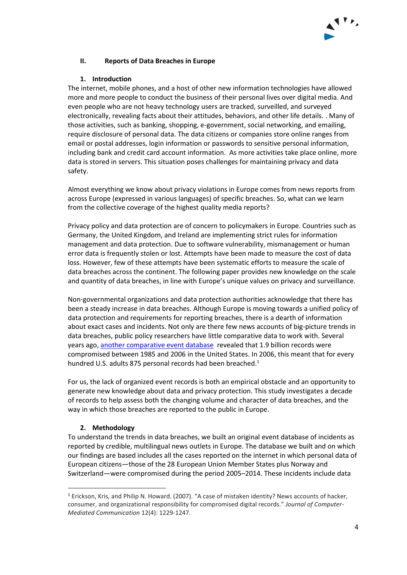

## <span id="page-3-0"></span>**II. Reports of Data Breaches in Europe**

### **1. Introduction**

<span id="page-3-1"></span>The internet, mobile phones, and a host of other new information technologies have allowed more and more people to conduct the business of their personal lives over digital media. And even people who are not heavy technology users are tracked, surveilled, and surveyed electronically, revealing facts about their attitudes, behaviors, and other life details. . Many of those activities, such as banking, shopping, e-government, social networking, and emailing, require disclosure of personal data. The data citizens or companies store online ranges from email or postal addresses, login information or passwords to sensitive personal information, including bank and credit card account information. As more activities take place online, more data is stored in servers. This situation poses challenges for maintaining privacy and data safety.

Almost everything we know about privacy violations in Europe comes from news reports from across Europe (expressed in various languages) of specific breaches. So, what can we learn from the collective coverage of the highest quality media reports?

Privacy policy and data protection are of concern to policymakers in Europe. Countries such as Germany, the United Kingdom, and Ireland are implementing strict rules for information management and data protection. Due to software vulnerability, mismanagement or human error data is frequently stolen or lost. Attempts have been made to measure the cost of data loss. However, few of these attempts have been systematic efforts to measure the scale of data breaches across the continent. The following paper provides new knowledge on the scale and quantity of data breaches, in line with Europe's unique values on privacy and surveillance.

Non-governmental organizations and data protection authorities acknowledge that there has been a steady increase in data breaches. Although Europe is moving towards a unified policy of data protection and requirements for reporting breaches, there is a dearth of information about exact cases and incidents. Not only are there few news accounts of big-picture trends in data breaches, public policy researchers have little comparative data to work with. Several years ago, [another comparative event database](http://onlinelibrary.wiley.com/doi/10.1111/j.1083-6101.2007.00371.x/full) revealed that 1.9 billion records were compromised between 1985 and 2006 in the United States. In 2006, this meant that for every hundred U.S. adults 875 personal records had been breached.<sup>1</sup>

For us, the lack of organized event records is both an empirical obstacle and an opportunity to generate new knowledge about data and privacy protection. This study investigates a decade of records to help assess both the changing volume and character of data breaches, and the way in which those breaches are reported to the public in Europe.

### **2. Methodology**

 $\overline{a}$ 

<span id="page-3-2"></span>To understand the trends in data breaches, we built an original event database of incidents as reported by credible, multilingual news outlets in Europe. The database we built and on which our findings are based includes all the cases reported on the internet in which personal data of European citizens—those of the 28 European Union Member States plus Norway and Switzerland—were compromised during the period 2005–2014. These incidents include data

<sup>1</sup> Erickson, Kris, and Philip N. Howard. (2007). "A case of mistaken identity? News accounts of hacker, consumer, and organizational responsibility for compromised digital records." *Journal of Computer-Mediated Communication* 12(4): 1229-1247.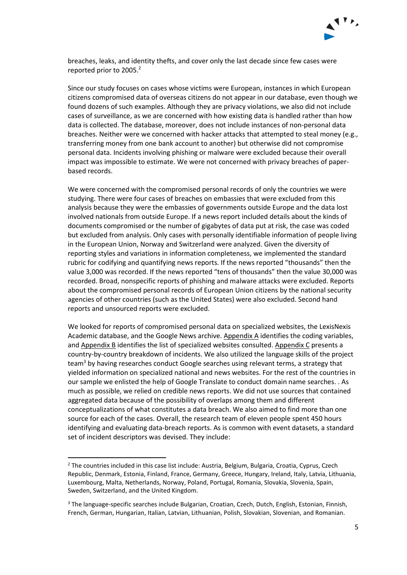

breaches, leaks, and identity thefts, and cover only the last decade since few cases were reported prior to 2005. 2

Since our study focuses on cases whose victims were European, instances in which European citizens compromised data of overseas citizens do not appear in our database, even though we found dozens of such examples. Although they are privacy violations, we also did not include cases of surveillance, as we are concerned with how existing data is handled rather than how data is collected. The database, moreover, does not include instances of non-personal data breaches. Neither were we concerned with hacker attacks that attempted to steal money (e.g., transferring money from one bank account to another) but otherwise did not compromise personal data. Incidents involving phishing or malware were excluded because their overall impact was impossible to estimate. We were not concerned with privacy breaches of paperbased records.

We were concerned with the compromised personal records of only the countries we were studying. There were four cases of breaches on embassies that were excluded from this analysis because they were the embassies of governments outside Europe and the data lost involved nationals from outside Europe. If a news report included details about the kinds of documents compromised or the number of gigabytes of data put at risk, the case was coded but excluded from analysis. Only cases with personally identifiable information of people living in the European Union, Norway and Switzerland were analyzed. Given the diversity of reporting styles and variations in information completeness, we implemented the standard rubric for codifying and quantifying news reports. If the news reported "thousands" then the value 3,000 was recorded. If the news reported "tens of thousands" then the value 30,000 was recorded. Broad, nonspecific reports of phishing and malware attacks were excluded. Reports about the compromised personal records of European Union citizens by the national security agencies of other countries (such as the United States) were also excluded. Second hand reports and unsourced reports were excluded.

We looked for reports of compromised personal data on specialized websites, the LexisNexis Academic database, and the Google News archive. Appendix A identifies the coding variables, and Appendix B identifies the list of specialized websites consulted. Appendix C presents a country-by-country breakdown of incidents. We also utilized the language skills of the project team<sup>3</sup> by having researches conduct Google searches using relevant terms, a strategy that yielded information on specialized national and news websites. For the rest of the countries in our sample we enlisted the help of Google Translate to conduct domain name searches. . As much as possible, we relied on credible news reports. We did not use sources that contained aggregated data because of the possibility of overlaps among them and different conceptualizations of what constitutes a data breach. We also aimed to find more than one source for each of the cases. Overall, the research team of eleven people spent 450 hours identifying and evaluating data-breach reports. As is common with event datasets, a standard set of incident descriptors was devised. They include:

 $\overline{a}$ 

<sup>2</sup> The countries included in this case list include: Austria, Belgium, Bulgaria, Croatia, Cyprus, Czech Republic, Denmark, Estonia, Finland, France, Germany, Greece, Hungary, Ireland, Italy, Latvia, Lithuania, Luxembourg, Malta, Netherlands, Norway, Poland, Portugal, Romania, Slovakia, Slovenia, Spain, Sweden, Switzerland, and the United Kingdom.

<sup>&</sup>lt;sup>3</sup> The language-specific searches include Bulgarian, Croatian, Czech, Dutch, English, Estonian, Finnish, French, German, Hungarian, Italian, Latvian, Lithuanian, Polish, Slovakian, Slovenian, and Romanian.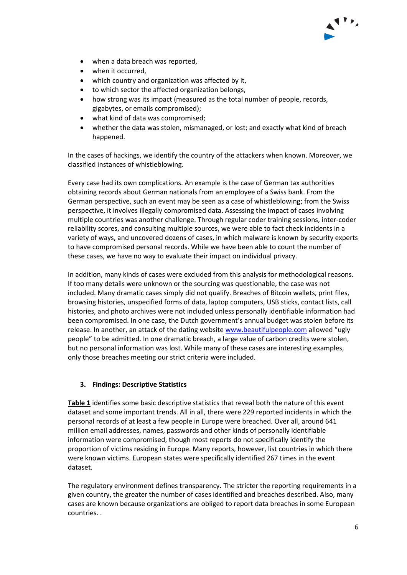- when a data breach was reported,
- when it occurred,
- which country and organization was affected by it,
- to which sector the affected organization belongs,
- how strong was its impact (measured as the total number of people, records, gigabytes, or emails compromised);
- what kind of data was compromised;
- whether the data was stolen, mismanaged, or lost; and exactly what kind of breach happened.

In the cases of hackings, we identify the country of the attackers when known. Moreover, we classified instances of whistleblowing.

Every case had its own complications. An example is the case of German tax authorities obtaining records about German nationals from an employee of a Swiss bank. From the German perspective, such an event may be seen as a case of whistleblowing; from the Swiss perspective, it involves illegally compromised data. Assessing the impact of cases involving multiple countries was another challenge. Through regular coder training sessions, inter-coder reliability scores, and consulting multiple sources, we were able to fact check incidents in a variety of ways, and uncovered dozens of cases, in which malware is known by security experts to have compromised personal records. While we have been able to count the number of these cases, we have no way to evaluate their impact on individual privacy.

In addition, many kinds of cases were excluded from this analysis for methodological reasons. If too many details were unknown or the sourcing was questionable, the case was not included. Many dramatic cases simply did not qualify. Breaches of Bitcoin wallets, print files, browsing histories, unspecified forms of data, laptop computers, USB sticks, contact lists, call histories, and photo archives were not included unless personally identifiable information had been compromised. In one case, the Dutch government's annual budget was stolen before its release. In another, an attack of the dating websit[e www.beautifulpeople.com](http://www.theguardian.com/lifeandstyle/2011/jun/20/dating-website-beautiful-people-members) allowed "ugly people" to be admitted. In one dramatic breach, a large value of carbon credits were stolen, but no personal information was lost. While many of these cases are interesting examples, only those breaches meeting our strict criteria were included.

# <span id="page-5-0"></span>**3. Findings: Descriptive Statistics**

**Table 1** identifies some basic descriptive statistics that reveal both the nature of this event dataset and some important trends. All in all, there were 229 reported incidents in which the personal records of at least a few people in Europe were breached. Over all, around 641 million email addresses, names, passwords and other kinds of personally identifiable information were compromised, though most reports do not specifically identify the proportion of victims residing in Europe. Many reports, however, list countries in which there were known victims. European states were specifically identified 267 times in the event dataset.

The regulatory environment defines transparency. The stricter the reporting requirements in a given country, the greater the number of cases identified and breaches described. Also, many cases are known because organizations are obliged to report data breaches in some European countries. .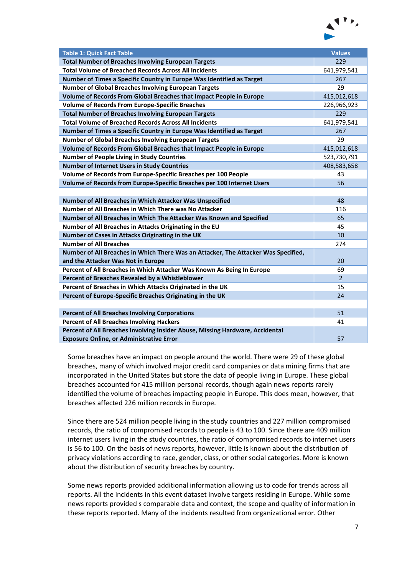

<span id="page-6-0"></span>

| <b>Table 1: Quick Fact Table</b>                                                   | <b>Values</b>  |
|------------------------------------------------------------------------------------|----------------|
| <b>Total Number of Breaches Involving European Targets</b>                         | 229            |
| <b>Total Volume of Breached Records Across All Incidents</b>                       | 641,979,541    |
| Number of Times a Specific Country in Europe Was Identified as Target              | 267            |
| <b>Number of Global Breaches Involving European Targets</b>                        | 29             |
| Volume of Records From Global Breaches that Impact People in Europe                | 415,012,618    |
| <b>Volume of Records From Europe-Specific Breaches</b>                             | 226,966,923    |
| <b>Total Number of Breaches Involving European Targets</b>                         | 229            |
| <b>Total Volume of Breached Records Across All Incidents</b>                       | 641,979,541    |
| Number of Times a Specific Country in Europe Was Identified as Target              | 267            |
| <b>Number of Global Breaches Involving European Targets</b>                        | 29             |
| Volume of Records From Global Breaches that Impact People in Europe                | 415,012,618    |
| <b>Number of People Living in Study Countries</b>                                  | 523,730,791    |
| <b>Number of Internet Users in Study Countries</b>                                 | 408,583,658    |
| Volume of Records from Europe-Specific Breaches per 100 People                     | 43             |
| Volume of Records from Europe-Specific Breaches per 100 Internet Users             | 56             |
|                                                                                    |                |
| Number of All Breaches in Which Attacker Was Unspecified                           | 48             |
| Number of All Breaches in Which There was No Attacker                              | 116            |
| Number of All Breaches in Which The Attacker Was Known and Specified               | 65             |
| Number of All Breaches in Attacks Originating in the EU                            | 45             |
| Number of Cases in Attacks Originating in the UK                                   | 10             |
| <b>Number of All Breaches</b>                                                      | 274            |
| Number of All Breaches in Which There Was an Attacker, The Attacker Was Specified, |                |
| and the Attacker Was Not in Europe                                                 | 20             |
| Percent of All Breaches in Which Attacker Was Known As Being In Europe             | 69             |
| Percent of Breaches Revealed by a Whistleblower                                    | $\overline{2}$ |
| Percent of Breaches in Which Attacks Originated in the UK                          | 15             |
| Percent of Europe-Specific Breaches Originating in the UK                          | 24             |
|                                                                                    |                |
| <b>Percent of All Breaches Involving Corporations</b>                              | 51             |
| <b>Percent of All Breaches Involving Hackers</b>                                   | 41             |
| Percent of All Breaches Involving Insider Abuse, Missing Hardware, Accidental      |                |
| <b>Exposure Online, or Administrative Error</b>                                    | 57             |

Some breaches have an impact on people around the world. There were 29 of these global breaches, many of which involved major credit card companies or data mining firms that are incorporated in the United States but store the data of people living in Europe. These global breaches accounted for 415 million personal records, though again news reports rarely identified the volume of breaches impacting people in Europe. This does mean, however, that breaches affected 226 million records in Europe.

Since there are 524 million people living in the study countries and 227 million compromised records, the ratio of compromised records to people is 43 to 100. Since there are 409 million internet users living in the study countries, the ratio of compromised records to internet users is 56 to 100. On the basis of news reports, however, little is known about the distribution of privacy violations according to race, gender, class, or other social categories. More is known about the distribution of security breaches by country.

Some news reports provided additional information allowing us to code for trends across all reports. All the incidents in this event dataset involve targets residing in Europe. While some news reports provided s comparable data and context, the scope and quality of information in these reports reported. Many of the incidents resulted from organizational error. Other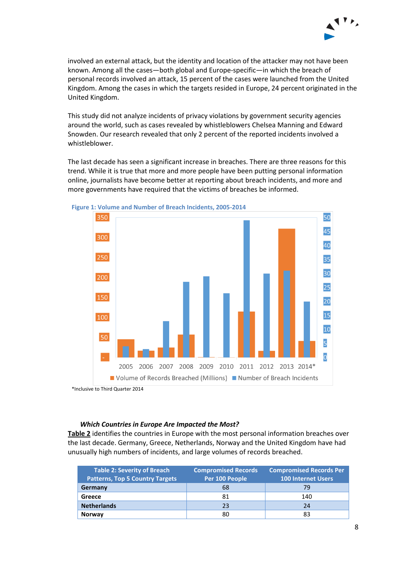

involved an external attack, but the identity and location of the attacker may not have been known. Among all the cases—both global and Europe-specific—in which the breach of personal records involved an attack, 15 percent of the cases were launched from the United Kingdom. Among the cases in which the targets resided in Europe, 24 percent originated in the United Kingdom.

This study did not analyze incidents of privacy violations by government security agencies around the world, such as cases revealed by whistleblowers Chelsea Manning and Edward Snowden. Our research revealed that only 2 percent of the reported incidents involved a whistleblower.

The last decade has seen a significant increase in breaches. There are three reasons for this trend. While it is true that more and more people have been putting personal information online, journalists have become better at reporting about breach incidents, and more and more governments have required that the victims of breaches be informed.





\*Inclusive to Third Quarter 2014

#### *Which Countries in Europe Are Impacted the Most?*

**Table 2** identifies the countries in Europe with the most personal information breaches over the last decade. Germany, Greece, Netherlands, Norway and the United Kingdom have had unusually high numbers of incidents, and large volumes of records breached.

<span id="page-7-0"></span>

| Table 2: Severity of Breach<br><b>Patterns, Top 5 Country Targets</b> | <b>Compromised Records Per</b><br><b>Compromised Records</b><br>Per 100 People<br><b>100 Internet Users</b> |     |
|-----------------------------------------------------------------------|-------------------------------------------------------------------------------------------------------------|-----|
| Germany                                                               | 68                                                                                                          | 79  |
| Greece                                                                | 81                                                                                                          | 140 |
| <b>Netherlands</b>                                                    | 23                                                                                                          | 24  |
| <b>Norway</b>                                                         | 80                                                                                                          | 83  |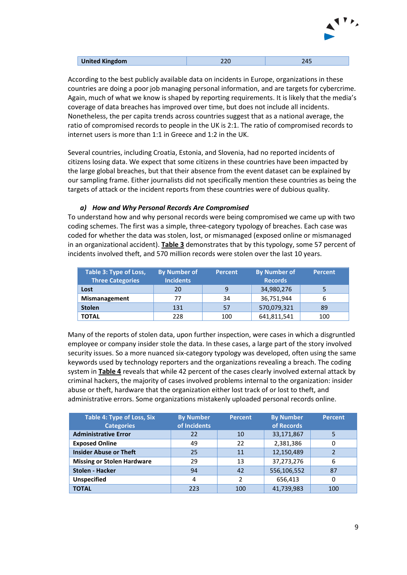

| <b>United Kingdom</b> |  |
|-----------------------|--|
|                       |  |

According to the best publicly available data on incidents in Europe, organizations in these countries are doing a poor job managing personal information, and are targets for cybercrime. Again, much of what we know is shaped by reporting requirements. It is likely that the media's coverage of data breaches has improved over time, but does not include all incidents. Nonetheless, the per capita trends across countries suggest that as a national average, the ratio of compromised records to people in the UK is 2:1. The ratio of compromised records to internet users is more than 1:1 in Greece and 1:2 in the UK.

Several countries, including Croatia, Estonia, and Slovenia, had no reported incidents of citizens losing data. We expect that some citizens in these countries have been impacted by the large global breaches, but that their absence from the event dataset can be explained by our sampling frame. Either journalists did not specifically mention these countries as being the targets of attack or the incident reports from these countries were of dubious quality.

### *a) How and Why Personal Records Are Compromised*

To understand how and why personal records were being compromised we came up with two coding schemes. The first was a simple, three-category typology of breaches. Each case was coded for whether the data was stolen, lost, or mismanaged (exposed online or mismanaged in an organizational accident). **Table 3** demonstrates that by this typology, some 57 percent of incidents involved theft, and 570 million records were stolen over the last 10 years.

<span id="page-8-0"></span>

| Table 3: Type of Loss,<br><b>Three Categories</b> | <b>By Number of</b><br><b>Incidents</b> | <b>Percent</b> | <b>By Number of</b><br><b>Records</b> | <b>Percent</b> |
|---------------------------------------------------|-----------------------------------------|----------------|---------------------------------------|----------------|
| Lost                                              | 20                                      |                | 34,980,276                            | 5              |
| <b>Mismanagement</b>                              | 77                                      | 34             | 36,751,944                            | 6              |
| <b>Stolen</b>                                     | 131                                     | 57             | 570,079,321                           | 89             |
| <b>TOTAL</b>                                      | 228                                     | 100            | 641,811,541                           | 100            |

Many of the reports of stolen data, upon further inspection, were cases in which a disgruntled employee or company insider stole the data. In these cases, a large part of the story involved security issues. So a more nuanced six-category typology was developed, often using the same keywords used by technology reporters and the organizations revealing a breach. The coding system in **Table 4** reveals that while 42 percent of the cases clearly involved external attack by criminal hackers, the majority of cases involved problems internal to the organization: insider abuse or theft, hardware that the organization either lost track of or lost to theft, and administrative errors. Some organizations mistakenly uploaded personal records online.

<span id="page-8-1"></span>

| Table 4: Type of Loss, Six<br><b>Categories</b> | <b>By Number</b><br>of Incidents | <b>Percent</b> | <b>By Number</b><br>of Records | <b>Percent</b> |
|-------------------------------------------------|----------------------------------|----------------|--------------------------------|----------------|
| <b>Administrative Error</b>                     | 22                               | 10             | 33,171,867                     | 5              |
| <b>Exposed Online</b>                           | 49                               | 22             | 2,381,386                      |                |
| <b>Insider Abuse or Theft</b>                   | 25                               | 11             | 12,150,489                     |                |
| <b>Missing or Stolen Hardware</b>               | 29                               | 13             | 37,273,276                     | 6              |
| <b>Stolen - Hacker</b>                          | 94                               | 42             | 556,106,552                    | 87             |
| <b>Unspecified</b>                              | 4                                | 2              | 656,413                        | 0              |
| <b>TOTAL</b>                                    | 223                              | 100            | 41,739,983                     | 100            |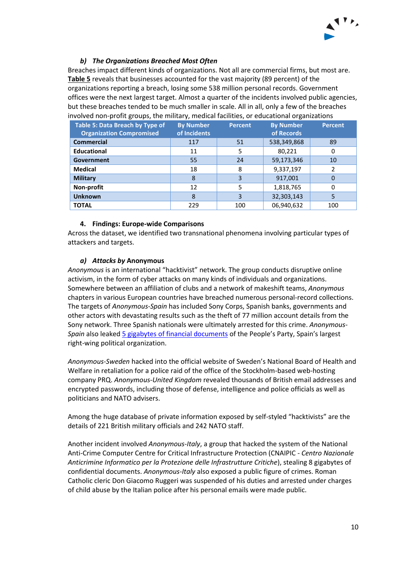

## *b) The Organizations Breached Most Often*

Breaches impact different kinds of organizations. Not all are commercial firms, but most are. **Table 5** reveals that businesses accounted for the vast majority (89 percent) of the organizations reporting a breach, losing some 538 million personal records. Government offices were the next largest target. Almost a quarter of the incidents involved public agencies, but these breaches tended to be much smaller in scale. All in all, only a few of the breaches involved non-profit groups, the military, medical facilities, or educational organizations

<span id="page-9-1"></span>

| <b>Table 5: Data Breach by Type of</b><br><b>Organization Compromised</b> | <b>By Number</b><br>of Incidents | <b>Percent</b> | <b>By Number</b><br>of Records | <b>Percent</b> |
|---------------------------------------------------------------------------|----------------------------------|----------------|--------------------------------|----------------|
| <b>Commercial</b>                                                         | 117                              | 51             | 538,349,868                    | 89             |
| <b>Educational</b>                                                        | 11                               | 5              | 80,221                         | 0              |
| Government                                                                | 55                               | 24             | 59,173,346                     | 10             |
| <b>Medical</b>                                                            | 18                               | 8              | 9,337,197                      | 2              |
| <b>Military</b>                                                           | 8                                | 3              | 917,001                        | 0              |
| Non-profit                                                                | 12                               | 5              | 1,818,765                      | 0              |
| <b>Unknown</b>                                                            | 8                                | 3              | 32,303,143                     | 5              |
| <b>TOTAL</b>                                                              | 229                              | 100            | 06,940,632                     | 100            |

### **4. Findings: Europe-wide Comparisons**

<span id="page-9-0"></span>Across the dataset, we identified two transnational phenomena involving particular types of attackers and targets.

### *a) Attacks by* **Anonymous**

*Anonymous* is an international "hacktivist" network. The group conducts disruptive online activism, in the form of cyber attacks on many kinds of individuals and organizations. Somewhere between an affiliation of clubs and a network of makeshift teams, *Anonymous* chapters in various European countries have breached numerous personal-record collections. The targets of *Anonymous-Spain* has included Sony Corps, Spanish banks, governments and other actors with devastating results such as the theft of 77 million account details from the Sony network. Three Spanish nationals were ultimately arrested for this crime. *Anonymous-Spain* also leaked 5 gigabytes [of financial documents](https://globalvoicesonline.org/2013/07/09/anonymous-leaks-the-accounts-of-spains-governing-party/) of the People's Party, Spain's largest right-wing political organization.

*Anonymous-Sweden* hacked into the official website of Sweden's National Board of Health and Welfare in retaliation for a police raid of the office of the Stockholm-based web-hosting company PRQ. *Anonymous-United Kingdom* revealed thousands of British email addresses and encrypted passwords, including those of defense, intelligence and police officials as well as politicians and NATO advisers.

Among the huge database of private information exposed by self-styled "hacktivists" are the details of 221 British military officials and 242 NATO staff.

Another incident involved *Anonymous-Italy*, a group that hacked the system of the National Anti-Crime Computer Centre for Critical Infrastructure Protection (CNAIPIC - *Centro Nazionale Anticrimine Informatico per la Protezione delle Infrastrutture Critiche*), stealing 8 gigabytes of confidential documents. *Anonymous-Italy* also exposed a public figure of crimes. Roman Catholic cleric Don Giacomo Ruggeri was suspended of his duties and arrested under charges of child abuse by the Italian police after his personal emails were made public.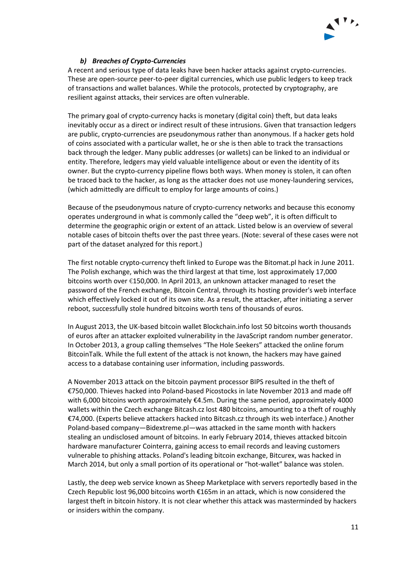

### *b) Breaches of Crypto-Currencies*

A recent and serious type of data leaks have been hacker attacks against crypto-currencies. These are open-source peer-to-peer digital currencies, which use public ledgers to keep track of transactions and wallet balances. While the protocols, protected by cryptography, are resilient against attacks, their services are often vulnerable.

The primary goal of crypto-currency hacks is monetary (digital coin) theft, but data leaks inevitably occur as a direct or indirect result of these intrusions. Given that transaction ledgers are public, crypto-currencies are pseudonymous rather than anonymous. If a hacker gets hold of coins associated with a particular wallet, he or she is then able to track the transactions back through the ledger. Many public addresses (or wallets) can be linked to an individual or entity. Therefore, ledgers may yield valuable intelligence about or even the identity of its owner. But the crypto-currency pipeline flows both ways. When money is stolen, it can often be traced back to the hacker, as long as the attacker does not use money-laundering services, (which admittedly are difficult to employ for large amounts of coins.)

Because of the pseudonymous nature of crypto-currency networks and because this economy operates underground in what is commonly called the "deep web", it is often difficult to determine the geographic origin or extent of an attack. Listed below is an overview of several notable cases of bitcoin thefts over the past three years. (Note: several of these cases were not part of the dataset analyzed for this report.)

The first notable crypto-currency theft linked to Europe was the Bitomat.pl hack in June 2011. The Polish exchange, which was the third largest at that time, lost approximately 17,000 bitcoins worth over €150,000. In April 2013, an unknown attacker managed to reset the password of the French exchange, Bitcoin Central, through its hosting provider's web interface which effectively locked it out of its own site. As a result, the attacker, after initiating a server reboot, successfully stole hundred bitcoins worth tens of thousands of euros.

In August 2013, the UK-based bitcoin wallet Blockchain.info lost 50 bitcoins worth thousands of euros after an attacker exploited vulnerability in the JavaScript random number generator. In October 2013, a group calling themselves "The Hole Seekers" attacked the online forum BitcoinTalk. While the full extent of the attack is not known, the hackers may have gained access to a database containing user information, including passwords.

A November 2013 attack on the bitcoin payment processor BIPS resulted in the theft of €750,000. Thieves hacked into Poland-based Picostocks in late November 2013 and made off with 6,000 bitcoins worth approximately €4.5m. During the same period, approximately 4000 wallets within the Czech exchange Bitcash.cz lost 480 bitcoins, amounting to a theft of roughly €74,000. (Experts believe attackers hacked into Bitcash.cz through its web interface.) Another Poland-based company—Bidextreme.pl—was attacked in the same month with hackers stealing an undisclosed amount of bitcoins. In early February 2014, thieves attacked bitcoin hardware manufacturer Cointerra, gaining access to email records and leaving customers vulnerable to phishing attacks. Poland's leading bitcoin exchange, Bitcurex, was hacked in March 2014, but only a small portion of its operational or "hot-wallet" balance was stolen.

Lastly, the deep web service known as Sheep Marketplace with servers reportedly based in the Czech Republic lost 96,000 bitcoins worth €165m in an attack, which is now considered the largest theft in bitcoin history. It is not clear whether this attack was masterminded by hackers or insiders within the company.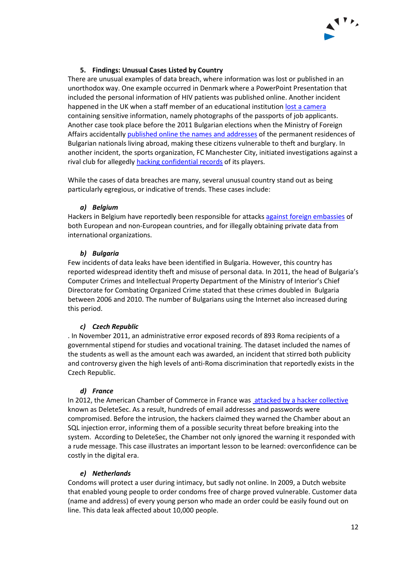

## **5. Findings: Unusual Cases Listed by Country**

<span id="page-11-0"></span>There are unusual examples of data breach, where information was lost or published in an unorthodox way. One example occurred in Denmark where a PowerPoint Presentation that included the personal information of HIV patients was published online. Another incident happened in the UK when a staff member of an educational institution lost a [camera](http://www.infosecurity-magazine.com/news/data-breach-at-royal-vet-college-prompts-ico-byod/) containing sensitive information, namely photographs of the passports of job applicants. Another case took place before the 2011 Bulgarian elections when the Ministry of Foreign Affairs accidentally [published online the names and](http://www.novinite.com/articles/134171/Bulgarian+Expats+Ask+Damages+from+Sofia+for+Data+Leak) addresses of the permanent residences of Bulgarian nationals living abroad, making these citizens vulnerable to theft and burglary. In another incident, the sports organization, FC Manchester City, initiated investigations against a rival club for allegedly hacking [confidential records](http://www.dailymail.co.uk/sport/football/article-2342849/Manchester-City-investigate-spying-claims-rival-clubs.html) of its players.

While the cases of data breaches are many, several unusual country stand out as being particularly egregious, or indicative of trends. These cases include:

### *a) Belgium*

Hackers in Belgium have reportedly been responsible for attacks [against foreign](http://euobserver.com/institutional/118729) embassies of both European and non-European countries, and for illegally obtaining private data from international organizations.

### *b) Bulgaria*

Few incidents of data leaks have been identified in Bulgaria. However, this country has reported widespread identity theft and misuse of personal data. In 2011, the head of Bulgaria's Computer Crimes and Intellectual Property Department of the Ministry of Interior's Chief Directorate for Combating Organized Crime stated that these crimes doubled in Bulgaria between 2006 and 2010. The number of Bulgarians using the Internet also increased during this period.

#### *c) Czech Republic*

. In November 2011, an administrative error exposed records of 893 Roma recipients of a governmental stipend for studies and vocational training. The dataset included the names of the students as well as the amount each was awarded, an incident that stirred both publicity and controversy given the high levels of anti-Roma discrimination that reportedly exists in the Czech Republic.

#### *d) France*

In 2012, the American Chamber of Commerce in France was [attacked by a hacker collective](http://news.softpedia.com/news/Hackers-Leak-User-Details-from-American-Chamber-of-Commerce-in-France-294151.shtml) known as DeleteSec. As a result, hundreds of email addresses and passwords were compromised. Before the intrusion, the hackers claimed they warned the Chamber about an SQL injection error, informing them of a possible security threat before breaking into the system. According to DeleteSec, the Chamber not only ignored the warning it responded with a rude message. This case illustrates an important lesson to be learned: overconfidence can be costly in the digital era.

#### *e) Netherlands*

Condoms will protect a user during intimacy, but sadly not online. In 2009, a Dutch website that enabled young people to order condoms free of charge proved vulnerable. Customer data (name and address) of every young person who made an order could be easily found out on line. This data leak affected about 10,000 people.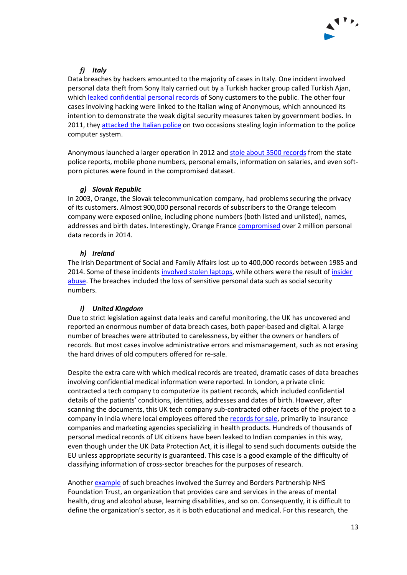

# *f) Italy*

Data breaches by hackers amounted to the majority of cases in Italy. One incident involved personal data theft from Sony Italy carried out by a Turkish hacker group called Turkish Ajan, which [leaked confidential personal records](http://news.softpedia.com/news/Turkish-Hackers-Claim-to-Have-Breached-Sony-Italy-40-000-Accounts-Leaked-367890.shtml) of Sony customers to the public. The other four cases involving hacking were linked to the Italian wing of Anonymous, which announced its intention to demonstrate the weak digital security measures taken by government bodies. In 2011, they [attacked the](http://thehackernews.com/2011/07/italys-police-it-network-vitrocisetit.html) Italian police on two occasions stealing login information to the police computer system.

Anonymous launched a larger operation in 2012 and [stole about 3500 records](http://thehackernews.com/2012/10/anonymous-hackers-leaks-135gb-italian.html) from the state police reports, mobile phone numbers, personal emails, information on salaries, and even softporn pictures were found in the compromised dataset.

## *g) Slovak Republic*

In 2003, Orange, the Slovak telecommunication company, had problems securing the privacy of its customers. Almost 900,000 personal records of subscribers to the Orange telecom company were exposed online, including phone numbers (both listed and unlisted), names, addresses and birth dates. Interestingly, Orange Franc[e compromised](http://rt.com/news/157460-france-telecom-orange-hack/) over 2 million personal data records in 2014.

## *h) Ireland*

The Irish Department of Social and Family Affairs lost up to 400,000 records between 1985 and 2014. Some of these incidents involved stolen laptops, while others were the result of insider [abuse.](http://www.independent.ie/irish-news/official-gave-private-details-to-media-in-new-leak-shock-26325283.html) The breaches included the loss of sensitive personal data such as social security numbers.

# *i) United Kingdom*

Due to strict legislation against data leaks and careful monitoring, the UK has uncovered and reported an enormous number of data breach cases, both paper-based and digital. A large number of breaches were attributed to carelessness, by either the owners or handlers of records. But most cases involve administrative errors and mismanagement, such as not erasing the hard drives of old computers offered for re-sale.

Despite the extra care with which medical records are treated, dramatic cases of data breaches involving confidential medical information were reported. In London, a private clinic contracted a tech company to computerize its patient records, which included confidential details of the patients' conditions, identities, addresses and dates of birth. However, after scanning the documents, this UK tech company sub-contracted other facets of the project to a company in India where local employees offered the [records for sale,](http://www.dailymail.co.uk/news/article-1221186/Private-medical-records-sale-Harley-Street-clinic-patients-files-outsourced-input--end-black-market.html) primarily to insurance companies and marketing agencies specializing in health products. Hundreds of thousands of personal medical records of UK citizens have been leaked to Indian companies in this way, even though under the UK Data Protection Act, it is illegal to send such documents outside the EU unless appropriate security is guaranteed. This case is a good example of the difficulty of classifying information of cross-sector breaches for the purposes of research.

Anothe[r example](http://ico.org.uk/news/latest_news/2013/ico-issues-nhs-surrey-monetary-penalty-of-200000) of such breaches involved the Surrey and Borders Partnership NHS Foundation Trust, an organization that provides care and services in the areas of mental health, drug and alcohol abuse, learning disabilities, and so on. Consequently, it is difficult to define the organization's sector, as it is both educational and medical. For this research, the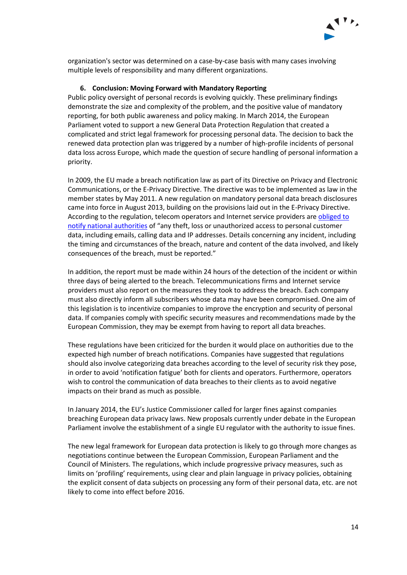

organization's sector was determined on a case-by-case basis with many cases involving multiple levels of responsibility and many different organizations.

#### **6. Conclusion: Moving Forward with Mandatory Reporting**

Public policy oversight of personal records is evolving quickly. These preliminary findings demonstrate the size and complexity of the problem, and the positive value of mandatory reporting, for both public awareness and policy making. In March 2014, the European Parliament voted to support a new General Data Protection Regulation that created a complicated and strict legal framework for processing personal data. The decision to back the renewed data protection plan was triggered by a number of high-profile incidents of personal data loss across Europe, which made the question of secure handling of personal information a priority.

In 2009, the EU made a breach notification law as part of its Directive on Privacy and Electronic Communications, or the E-Privacy Directive. The directive was to be implemented as law in the member states by May 2011. A new regulation on mandatory personal data breach disclosures came into force in August 2013, building on the provisions laid out in the E-Privacy Directive. According to the regulation, telecom operators and Internet service providers are [obliged to](http://www.computerweekly.com/news/2240203760/EU-data-breach-disclosures-to-be-enforced-soon)  [notify national authorities](http://www.computerweekly.com/news/2240203760/EU-data-breach-disclosures-to-be-enforced-soon) of "any theft, loss or unauthorized access to personal customer data, including emails, calling data and IP addresses. Details concerning any incident, including the timing and circumstances of the breach, nature and content of the data involved, and likely consequences of the breach, must be reported."

In addition, the report must be made within 24 hours of the detection of the incident or within three days of being alerted to the breach. Telecommunications firms and Internet service providers must also report on the measures they took to address the breach. Each company must also directly inform all subscribers whose data may have been compromised. One aim of this legislation is to incentivize companies to improve the encryption and security of personal data. If companies comply with specific security measures and recommendations made by the European Commission, they may be exempt from having to report all data breaches.

These regulations have been criticized for the burden it would place on authorities due to the expected high number of breach notifications. Companies have suggested that regulations should also involve categorizing data breaches according to the level of security risk they pose, in order to avoid 'notification fatigue' both for clients and operators. Furthermore, operators wish to control the communication of data breaches to their clients as to avoid negative impacts on their brand as much as possible.

In January 2014, the EU's Justice Commissioner called for larger fines against companies breaching European data privacy laws. New proposals currently under debate in the European Parliament involve the establishment of a single EU regulator with the authority to issue fines.

The new legal framework for European data protection is likely to go through more changes as negotiations continue between the European Commission, European Parliament and the Council of Ministers. The regulations, which include progressive privacy measures, such as limits on 'profiling' requirements, using clear and plain language in privacy policies, obtaining the explicit consent of data subjects on processing any form of their personal data, etc. are not likely to come into effect before 2016.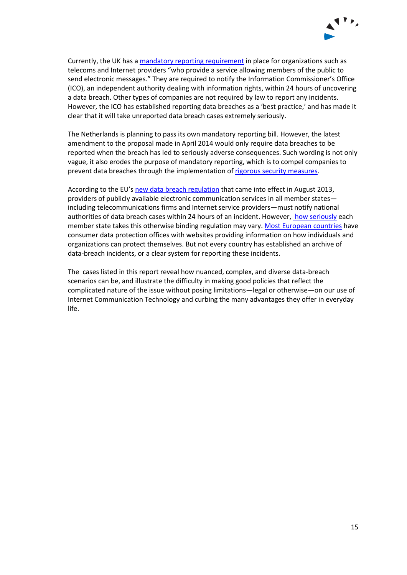

Currently, the UK has [a mandatory reporting requirement](http://ico.org.uk/for_organisations/data_protection/lose) in place for organizations such as telecoms and Internet providers "who provide a service allowing members of the public to send electronic messages." They are required to notify the Information Commissioner's Office (ICO), an independent authority dealing with information rights, within 24 hours of uncovering a data breach. Other types of companies are not required by law to report any incidents. However, the ICO has established reporting data breaches as a 'best practice,' and has made it clear that it will take unreported data breach cases extremely seriously.

The Netherlands is planning to pass its own mandatory reporting bill. However, the latest amendment to the proposal made in April 2014 would only require data breaches to be reported when the breach has led to seriously adverse consequences. Such wording is not only vague, it also erodes the purpose of mandatory reporting, which is to compel companies to prevent data breaches through the implementation of [rigorous security measures.](http://www.solv.nl/weblog/wetsvoorstel-meldplicht-datalekken-uitgehold/19905)

According to the EU's [new data breach regulation](http://eur-lex.europa.eu/LexUriServ/LexUriServ.do?uri=OJ:L:2013:173:0002:0008:en:PDF) that came into effect in August 2013, providers of publicly available electronic communication services in all member states including telecommunications firms and Internet service providers—must notify national authorities of data breach cases within 24 hours of an incident. However[, how seriously](ttp://www.infosecurity-magazine.com/view/34233/breach-notification-is-now-eu-law-for-communications-providers) each member state takes this otherwise binding regulation may vary. [Most European countries](http://ec.europa.eu/justice/data-protection/bodies/authorities/eu/index_en.htm) have consumer data protection offices with websites providing information on how individuals and organizations can protect themselves. But not every country has established an archive of data-breach incidents, or a clear system for reporting these incidents.

The cases listed in this report reveal how nuanced, complex, and diverse data-breach scenarios can be, and illustrate the difficulty in making good policies that reflect the complicated nature of the issue without posing limitations—legal or otherwise—on our use of Internet Communication Technology and curbing the many advantages they offer in everyday life.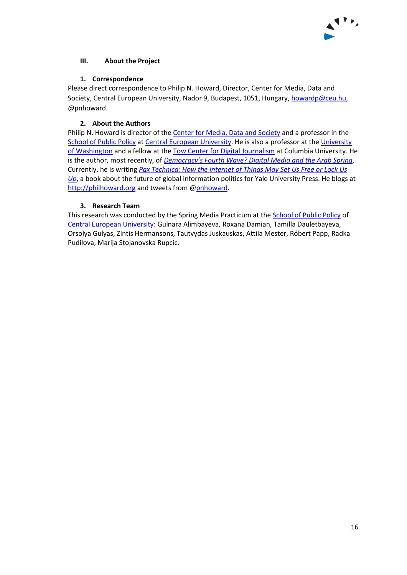

# <span id="page-15-0"></span>**III. About the Project**

### **1. Correspondence**

<span id="page-15-1"></span>Please direct correspondence to Philip N. Howard, Director, Center for Media, Data and Society, Central European University, Nador 9, Budapest, 1051, Hungary, [howardp@ceu.hu,](mailto:howardp@ceu.hu) @pnhoward.

# **2. About the Authors**

<span id="page-15-2"></span>Philip N. Howard is director of the [Center for Media, Data and Society](http://cmcs.ceu.hu/) and a professor in the [School of Public Policy](http://spp.ceu.hu/) a[t Central European University.](http://www.ceu.hu/) He is also a professor at the University [of Washington](http://www.com.washington.edu/) and a fellow at the [Tow Center for Digital Journalism](http://towcenter.org/) at Columbia University. He is the author, most recently, of *[Democracy's Fourth Wave? Digital Med](http://www.amazon.com/Democracys-Fourth-Wave-Digital-Politics/dp/0199936978/ref=sr_1_3?s=books&ie=UTF8&qid=1352840549&sr=1-3)ia and the Arab Spring*. Currently, he is writing *[Pax Technica: How the Internet of Things May Set Us Free or Lock Us](http://www.amazon.com/Pax-Technica-Internet-Things-Free/dp/0300199473/ref=sr_1_1?ie=UTF8&qid=1411654388&sr=8-1&keywords=pax+technica)  [Up](http://www.amazon.com/Pax-Technica-Internet-Things-Free/dp/0300199473/ref=sr_1_1?ie=UTF8&qid=1411654388&sr=8-1&keywords=pax+technica)*, a book about the future of global information politics for Yale University Press. He blogs at [http://philhoward.org](http://philhoward.org/) and tweets from [@pnhoward.](https://twitter.com/pnhoward)

## **3. Research Team**

<span id="page-15-3"></span>This research was conducted by the Spring Media Practicum at the [School of Public Policy](http://spp.ceu.hu/) of [Central European University:](http://www.ceu.hu/) Gulnara Alimbayeva, Roxana Damian, Tamilla Dauletbayeva, Orsolya Gulyas, Zintis Hermansons, Tautvydas Juskauskas, Attila Mester, Róbert Papp, Radka Pudilova, Marija Stojanovska Rupcic.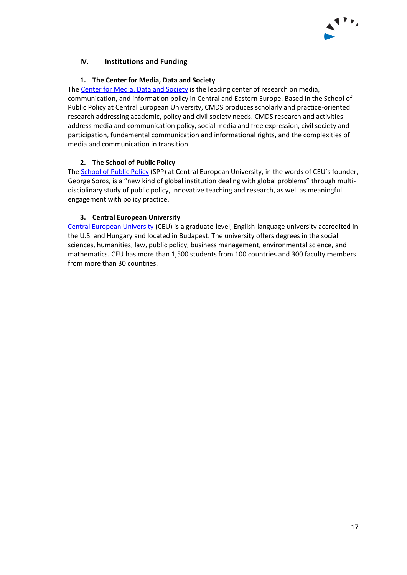

# <span id="page-16-0"></span>**IV. Institutions and Funding**

### **1. The Center for Media, Data and Society**

<span id="page-16-1"></span>The [Center for Media, Data and Society](http://cmcs.ceu.hu/) is the leading center of research on media, communication, and information policy in Central and Eastern Europe. Based in the School of Public Policy at Central European University, CMDS produces scholarly and practice-oriented research addressing academic, policy and civil society needs. CMDS research and activities address media and communication policy, social media and free expression, civil society and participation, fundamental communication and informational rights, and the complexities of media and communication in transition.

## **2. The School of Public Policy**

<span id="page-16-2"></span>The **School of Public Policy (SPP)** at Central European University, in the words of CEU's founder, [George Soros](http://www.georgesoros.com/), is a "new kind of global institution dealing with global problems" through multidisciplinary study of public policy, innovative teaching and research, as well as meaningful engagement with policy practice.

## **3. Central European University**

<span id="page-16-3"></span>[Central European University](http://www.ceu.hu/) (CEU) is a graduate-level, English-language university accredited in the U.S. and Hungary and located in Budapest. The university offers degrees in the social sciences, humanities, law, public policy, business management, environmental science, and mathematics. CEU has more than 1,500 students from 100 countries and 300 faculty members from more than 30 countries.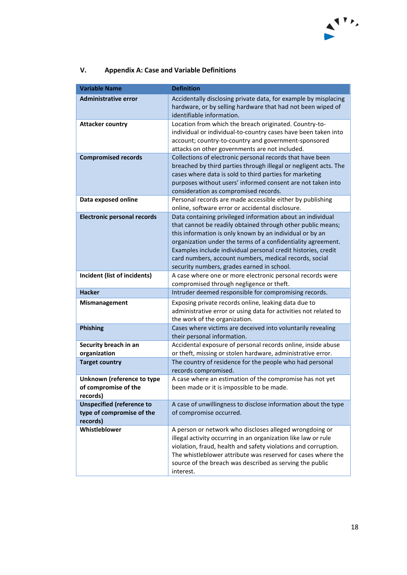

<span id="page-17-0"></span>

| V. | <b>Appendix A: Case and Variable Definitions</b> |
|----|--------------------------------------------------|
|----|--------------------------------------------------|

| <b>Variable Name</b>                                                      | <b>Definition</b>                                                                                                                                                                                                                                                                                                                                                                                                              |
|---------------------------------------------------------------------------|--------------------------------------------------------------------------------------------------------------------------------------------------------------------------------------------------------------------------------------------------------------------------------------------------------------------------------------------------------------------------------------------------------------------------------|
| <b>Administrative error</b>                                               | Accidentally disclosing private data, for example by misplacing<br>hardware, or by selling hardware that had not been wiped of<br>identifiable information.                                                                                                                                                                                                                                                                    |
| <b>Attacker country</b>                                                   | Location from which the breach originated. Country-to-<br>individual or individual-to-country cases have been taken into<br>account; country-to-country and government-sponsored<br>attacks on other governments are not included.                                                                                                                                                                                             |
| <b>Compromised records</b>                                                | Collections of electronic personal records that have been<br>breached by third parties through illegal or negligent acts. The<br>cases where data is sold to third parties for marketing<br>purposes without users' informed consent are not taken into<br>consideration as compromised records.                                                                                                                               |
| Data exposed online                                                       | Personal records are made accessible either by publishing<br>online, software error or accidental disclosure.                                                                                                                                                                                                                                                                                                                  |
| <b>Electronic personal records</b>                                        | Data containing privileged information about an individual<br>that cannot be readily obtained through other public means;<br>this information is only known by an individual or by an<br>organization under the terms of a confidentiality agreement.<br>Examples include individual personal credit histories, credit<br>card numbers, account numbers, medical records, social<br>security numbers, grades earned in school. |
| Incident (list of incidents)                                              | A case where one or more electronic personal records were<br>compromised through negligence or theft.                                                                                                                                                                                                                                                                                                                          |
| <b>Hacker</b>                                                             | Intruder deemed responsible for compromising records.                                                                                                                                                                                                                                                                                                                                                                          |
| <b>Mismanagement</b>                                                      | Exposing private records online, leaking data due to<br>administrative error or using data for activities not related to<br>the work of the organization.                                                                                                                                                                                                                                                                      |
| Phishing                                                                  | Cases where victims are deceived into voluntarily revealing<br>their personal information.                                                                                                                                                                                                                                                                                                                                     |
| Security breach in an<br>organization                                     | Accidental exposure of personal records online, inside abuse<br>or theft, missing or stolen hardware, administrative error.                                                                                                                                                                                                                                                                                                    |
| <b>Target country</b>                                                     | The country of residence for the people who had personal<br>records compromised.                                                                                                                                                                                                                                                                                                                                               |
| Unknown (reference to type<br>of compromise of the<br>records)            | A case where an estimation of the compromise has not yet<br>been made or it is impossible to be made.                                                                                                                                                                                                                                                                                                                          |
| <b>Unspecified (reference to</b><br>type of compromise of the<br>records) | A case of unwillingness to disclose information about the type<br>of compromise occurred.                                                                                                                                                                                                                                                                                                                                      |
| Whistleblower                                                             | A person or network who discloses alleged wrongdoing or<br>illegal activity occurring in an organization like law or rule<br>violation, fraud, health and safety violations and corruption.<br>The whistleblower attribute was reserved for cases where the<br>source of the breach was described as serving the public<br>interest.                                                                                           |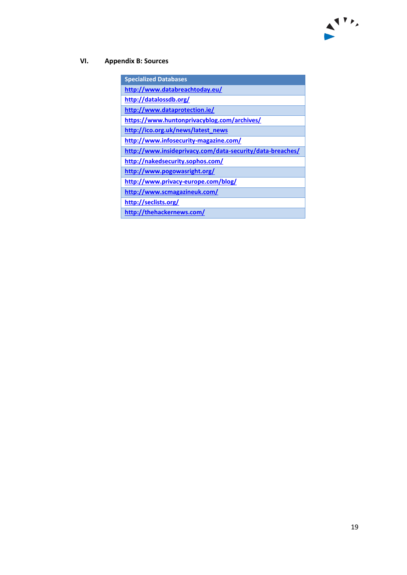# <span id="page-18-0"></span>**VI. Appendix B: Sources**

| <b>Specialized Databases</b>                              |
|-----------------------------------------------------------|
| http://www.databreachtoday.eu/                            |
| http://datalossdb.org/                                    |
| http://www.dataprotection.ie/                             |
| https://www.huntonprivacyblog.com/archives/               |
| http://ico.org.uk/news/latest_news                        |
| http://www.infosecurity-magazine.com/                     |
| http://www.insideprivacy.com/data-security/data-breaches/ |
| http://nakedsecurity.sophos.com/                          |
| http://www.pogowasright.org/                              |
| http://www.privacy-europe.com/blog/                       |
| http://www.scmagazineuk.com/                              |
| http://seclists.org/                                      |
| http://thehackernews.com/                                 |

 $\mathbf{A}$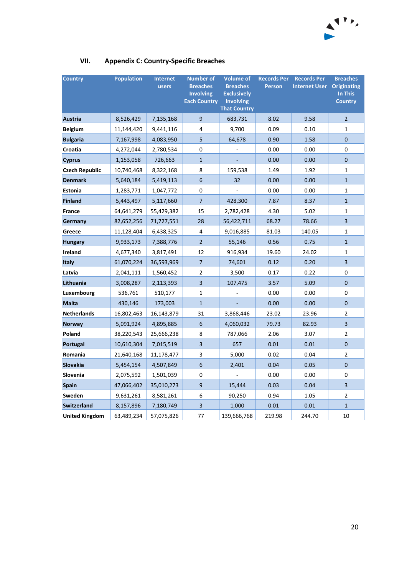

| <b>Country</b>        | <b>Population</b> | <b>Internet</b><br>users | <b>Number of</b><br><b>Breaches</b><br><b>Involving</b><br><b>Each Country</b> | <b>Volume of</b><br><b>Breaches</b><br><b>Exclusively</b><br><b>Involving</b><br><b>That Country</b> | <b>Records Per</b><br><b>Person</b> | <b>Records Per</b><br><b>Internet User</b> | <b>Breaches</b><br><b>Originating</b><br>In This<br><b>Country</b> |
|-----------------------|-------------------|--------------------------|--------------------------------------------------------------------------------|------------------------------------------------------------------------------------------------------|-------------------------------------|--------------------------------------------|--------------------------------------------------------------------|
| Austria               | 8,526,429         | 7,135,168                | 9                                                                              | 683,731                                                                                              | 8.02                                | 9.58                                       | $\overline{2}$                                                     |
| <b>Belgium</b>        | 11,144,420        | 9,441,116                | 4                                                                              | 9,700                                                                                                | 0.09                                | 0.10                                       | 1                                                                  |
| <b>Bulgaria</b>       | 7,167,998         | 4,083,950                | 5                                                                              | 64,678                                                                                               | 0.90                                | 1.58                                       | $\mathbf 0$                                                        |
| Croatia               | 4,272,044         | 2,780,534                | 0                                                                              |                                                                                                      | 0.00                                | 0.00                                       | 0                                                                  |
| <b>Cyprus</b>         | 1,153,058         | 726,663                  | $\mathbf{1}$                                                                   |                                                                                                      | 0.00                                | 0.00                                       | $\mathbf{0}$                                                       |
| <b>Czech Republic</b> | 10,740,468        | 8,322,168                | 8                                                                              | 159,538                                                                                              | 1.49                                | 1.92                                       | $\mathbf{1}$                                                       |
| <b>Denmark</b>        | 5,640,184         | 5,419,113                | 6                                                                              | 32                                                                                                   | 0.00                                | 0.00                                       | $\mathbf{1}$                                                       |
| <b>Estonia</b>        | 1,283,771         | 1,047,772                | 0                                                                              |                                                                                                      | 0.00                                | 0.00                                       | $\mathbf{1}$                                                       |
| Finland               | 5,443,497         | 5,117,660                | $\overline{7}$                                                                 | 428,300                                                                                              | 7.87                                | 8.37                                       | $\mathbf{1}$                                                       |
| <b>France</b>         | 64,641,279        | 55,429,382               | 15                                                                             | 2,782,428                                                                                            | 4.30                                | 5.02                                       | $\mathbf{1}$                                                       |
| Germany               | 82,652,256        | 71,727,551               | 28                                                                             | 56,422,711                                                                                           | 68.27                               | 78.66                                      | 3                                                                  |
| Greece                | 11,128,404        | 6,438,325                | 4                                                                              | 9,016,885                                                                                            | 81.03                               | 140.05                                     | 1                                                                  |
| <b>Hungary</b>        | 9,933,173         | 7,388,776                | $\overline{2}$                                                                 | 55,146                                                                                               | 0.56                                | 0.75                                       | $\mathbf{1}$                                                       |
| Ireland               | 4,677,340         | 3,817,491                | 12                                                                             | 916,934                                                                                              | 19.60                               | 24.02                                      | 1                                                                  |
| <b>Italy</b>          | 61,070,224        | 36,593,969               | $\overline{7}$                                                                 | 74,601                                                                                               | 0.12                                | 0.20                                       | $\overline{3}$                                                     |
| Latvia                | 2,041,111         | 1,560,452                | $\overline{2}$                                                                 | 3,500                                                                                                | 0.17                                | 0.22                                       | 0                                                                  |
| Lithuania             | 3,008,287         | 2,113,393                | $\overline{\mathbf{3}}$                                                        | 107,475                                                                                              | 3.57                                | 5.09                                       | 0                                                                  |
| Luxembourg            | 536,761           | 510,177                  | $\mathbf{1}$                                                                   |                                                                                                      | 0.00                                | 0.00                                       | 0                                                                  |
| <b>Malta</b>          | 430,146           | 173,003                  | $\mathbf{1}$                                                                   |                                                                                                      | 0.00                                | 0.00                                       | $\pmb{0}$                                                          |
| <b>Netherlands</b>    | 16,802,463        | 16,143,879               | 31                                                                             | 3,868,446                                                                                            | 23.02                               | 23.96                                      | $\overline{2}$                                                     |
| <b>Norway</b>         | 5,091,924         | 4,895,885                | 6                                                                              | 4,060,032                                                                                            | 79.73                               | 82.93                                      | 3                                                                  |
| Poland                | 38,220,543        | 25,666,238               | 8                                                                              | 787,066                                                                                              | 2.06                                | 3.07                                       | 2                                                                  |
| Portugal              | 10,610,304        | 7,015,519                | 3                                                                              | 657                                                                                                  | 0.01                                | 0.01                                       | $\mathbf{0}$                                                       |
| Romania               | 21,640,168        | 11,178,477               | 3                                                                              | 5,000                                                                                                | 0.02                                | 0.04                                       | $\overline{2}$                                                     |
| Slovakia              | 5,454,154         | 4,507,849                | 6                                                                              | 2,401                                                                                                | 0.04                                | 0.05                                       | $\mathbf{0}$                                                       |
| Slovenia              | 2,075,592         | 1,501,039                | 0                                                                              |                                                                                                      | 0.00                                | 0.00                                       | 0                                                                  |
| <b>Spain</b>          | 47,066,402        | 35,010,273               | 9                                                                              | 15,444                                                                                               | 0.03                                | 0.04                                       | 3                                                                  |
| <b>Sweden</b>         | 9,631,261         | 8,581,261                | 6                                                                              | 90,250                                                                                               | 0.94                                | 1.05                                       | $\overline{2}$                                                     |
| Switzerland           | 8,157,896         | 7,180,749                | $\overline{\mathbf{3}}$                                                        | 1,000                                                                                                | 0.01                                | 0.01                                       | $\mathbf{1}$                                                       |
| <b>United Kingdom</b> | 63,489,234        | 57,075,826               | 77                                                                             | 139,666,768                                                                                          | 219.98                              | 244.70                                     | 10                                                                 |

# <span id="page-19-0"></span>**VII. Appendix C: Country-Specific Breaches**